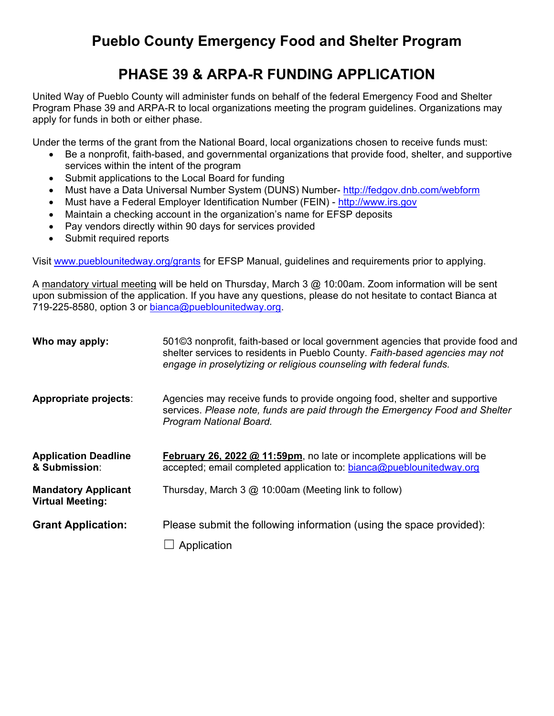# **Pueblo County Emergency Food and Shelter Program**

## **PHASE 39 & ARPA-R FUNDING APPLICATION**

United Way of Pueblo County will administer funds on behalf of the federal Emergency Food and Shelter Program Phase 39 and ARPA-R to local organizations meeting the program guidelines. Organizations may apply for funds in both or either phase.

Under the terms of the grant from the National Board, local organizations chosen to receive funds must:

- Be a nonprofit, faith-based, and governmental organizations that provide food, shelter, and supportive services within the intent of the program
- Submit applications to the Local Board for funding
- Must have a Data Universal Number System (DUNS) Number-<http://fedgov.dnb.com/webform>
- Must have a Federal Employer Identification Number (FEIN) - [http://www.irs.gov](http://www.irs.gov/)
- Maintain a checking account in the organization's name for EFSP deposits
- Pay vendors directly within 90 days for services provided
- Submit required reports

Visit [www.pueblounitedway.org/grants](http://www.pueblounitedway.org/grants) for EFSP Manual, guidelines and requirements prior to applying.

A mandatory virtual meeting will be held on Thursday, March 3 @ 10:00am. Zoom information will be sent upon submission of the application. If you have any questions, please do not hesitate to contact Bianca at 719-225-8580, option 3 or [bianca@pueblounitedway.org.](mailto:bianca@pueblounitedway.org)

| Who may apply:                                        | 501©3 nonprofit, faith-based or local government agencies that provide food and<br>shelter services to residents in Pueblo County. Faith-based agencies may not<br>engage in proselytizing or religious counseling with federal funds. |
|-------------------------------------------------------|----------------------------------------------------------------------------------------------------------------------------------------------------------------------------------------------------------------------------------------|
| Appropriate projects:                                 | Agencies may receive funds to provide ongoing food, shelter and supportive<br>services. Please note, funds are paid through the Emergency Food and Shelter<br>Program National Board.                                                  |
| <b>Application Deadline</b><br>& Submission:          | <b>February 26, 2022 @ 11:59pm</b> , no late or incomplete applications will be<br>accepted; email completed application to: bianca@pueblounitedway.org                                                                                |
| <b>Mandatory Applicant</b><br><b>Virtual Meeting:</b> | Thursday, March 3 @ 10:00am (Meeting link to follow)                                                                                                                                                                                   |
| <b>Grant Application:</b>                             | Please submit the following information (using the space provided):                                                                                                                                                                    |
|                                                       | Application                                                                                                                                                                                                                            |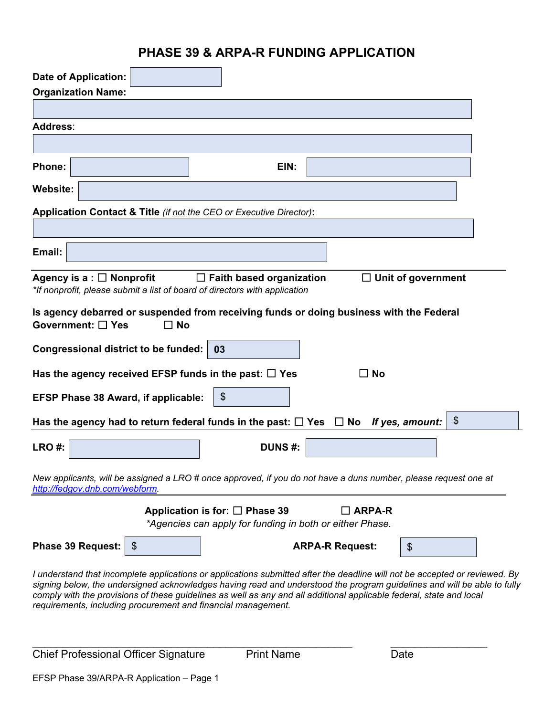### **PHASE 39 & ARPA-R FUNDING APPLICATION**

|                                                                            | <b>Date of Application:</b>                                                                                                                                                                                                                                                                                                                                                                                                                     |                                                                                                    |               |                        |                           |               |
|----------------------------------------------------------------------------|-------------------------------------------------------------------------------------------------------------------------------------------------------------------------------------------------------------------------------------------------------------------------------------------------------------------------------------------------------------------------------------------------------------------------------------------------|----------------------------------------------------------------------------------------------------|---------------|------------------------|---------------------------|---------------|
|                                                                            | <b>Organization Name:</b>                                                                                                                                                                                                                                                                                                                                                                                                                       |                                                                                                    |               |                        |                           |               |
|                                                                            |                                                                                                                                                                                                                                                                                                                                                                                                                                                 |                                                                                                    |               |                        |                           |               |
| Address:                                                                   |                                                                                                                                                                                                                                                                                                                                                                                                                                                 |                                                                                                    |               |                        |                           |               |
|                                                                            |                                                                                                                                                                                                                                                                                                                                                                                                                                                 |                                                                                                    |               |                        |                           |               |
| Phone:                                                                     |                                                                                                                                                                                                                                                                                                                                                                                                                                                 |                                                                                                    | EIN:          |                        |                           |               |
| <b>Website:</b>                                                            |                                                                                                                                                                                                                                                                                                                                                                                                                                                 |                                                                                                    |               |                        |                           |               |
|                                                                            | Application Contact & Title (if not the CEO or Executive Director):                                                                                                                                                                                                                                                                                                                                                                             |                                                                                                    |               |                        |                           |               |
|                                                                            |                                                                                                                                                                                                                                                                                                                                                                                                                                                 |                                                                                                    |               |                        |                           |               |
| Email:                                                                     |                                                                                                                                                                                                                                                                                                                                                                                                                                                 |                                                                                                    |               |                        |                           |               |
|                                                                            | Agency is a : $\Box$ Nonprofit<br>*If nonprofit, please submit a list of board of directors with application                                                                                                                                                                                                                                                                                                                                    | $\Box$ Faith based organization                                                                    |               |                        | $\Box$ Unit of government |               |
|                                                                            | Is agency debarred or suspended from receiving funds or doing business with the Federal<br>Government: □ Yes<br>$\Box$ No                                                                                                                                                                                                                                                                                                                       |                                                                                                    |               |                        |                           |               |
| Congressional district to be funded:  <br>03                               |                                                                                                                                                                                                                                                                                                                                                                                                                                                 |                                                                                                    |               |                        |                           |               |
| Has the agency received EFSP funds in the past: $\square$ Yes<br>$\Box$ No |                                                                                                                                                                                                                                                                                                                                                                                                                                                 |                                                                                                    |               |                        |                           |               |
| \$<br><b>EFSP Phase 38 Award, if applicable:</b>                           |                                                                                                                                                                                                                                                                                                                                                                                                                                                 |                                                                                                    |               |                        |                           |               |
|                                                                            | Has the agency had to return federal funds in the past: $\Box$ Yes $\Box$ No                                                                                                                                                                                                                                                                                                                                                                    |                                                                                                    |               |                        | If yes, amount:           | $\frac{1}{2}$ |
| LRO#:                                                                      |                                                                                                                                                                                                                                                                                                                                                                                                                                                 |                                                                                                    | <b>DUNS#:</b> |                        |                           |               |
|                                                                            | New applicants, will be assigned a LRO # once approved, if you do not have a duns number, please request one at<br>http://fedgov.dnb.com/webform.                                                                                                                                                                                                                                                                                               |                                                                                                    |               |                        |                           |               |
|                                                                            |                                                                                                                                                                                                                                                                                                                                                                                                                                                 | Application is for: $\square$ Phase 39<br>*Agencies can apply for funding in both or either Phase. |               | $\square$ ARPA-R       |                           |               |
|                                                                            | <b>Phase 39 Request:</b><br>\$                                                                                                                                                                                                                                                                                                                                                                                                                  |                                                                                                    |               | <b>ARPA-R Request:</b> | $\frac{1}{2}$             |               |
|                                                                            | I understand that incomplete applications or applications submitted after the deadline will not be accepted or reviewed. By<br>signing below, the undersigned acknowledges having read and understood the program guidelines and will be able to fully<br>comply with the provisions of these guidelines as well as any and all additional applicable federal, state and local<br>requirements, including procurement and financial management. |                                                                                                    |               |                        |                           |               |

Chief Professional Officer Signature Print Name Date

\_\_\_\_\_\_\_\_\_\_\_\_\_\_\_\_\_\_\_\_\_\_\_\_\_\_\_\_\_\_\_\_\_\_\_\_\_\_\_\_\_\_\_\_\_\_\_\_\_\_\_\_\_ \_\_\_\_\_\_\_\_\_\_\_\_\_\_\_\_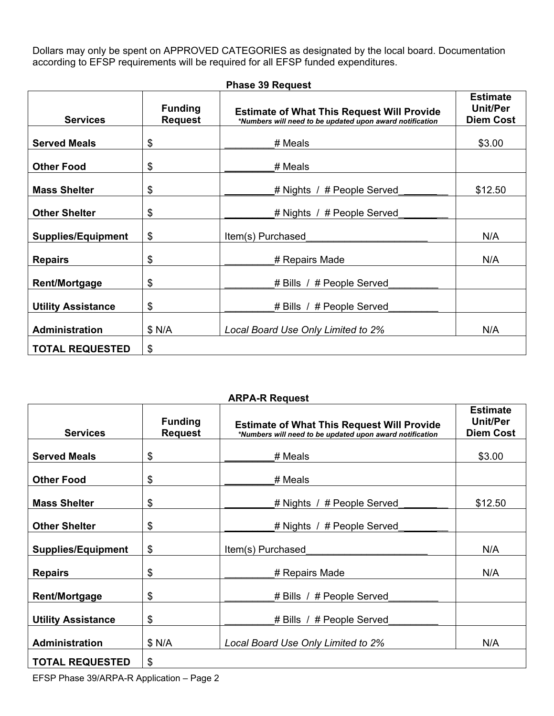Dollars may only be spent on APPROVED CATEGORIES as designated by the local board. Documentation according to EFSP requirements will be required for all EFSP funded expenditures.

| <b>Services</b>           | <b>Funding</b><br><b>Request</b> | <b>Estimate of What This Request Will Provide</b><br>*Numbers will need to be updated upon award notification | <b>Estimate</b><br>Unit/Per<br><b>Diem Cost</b> |
|---------------------------|----------------------------------|---------------------------------------------------------------------------------------------------------------|-------------------------------------------------|
| <b>Served Meals</b>       | \$                               | # Meals                                                                                                       | \$3.00                                          |
| <b>Other Food</b>         | \$                               | # Meals                                                                                                       |                                                 |
| <b>Mass Shelter</b>       | \$                               | # Nights / # People Served                                                                                    | \$12.50                                         |
| <b>Other Shelter</b>      | \$                               | # Nights / # People Served                                                                                    |                                                 |
| <b>Supplies/Equipment</b> | $\frac{1}{2}$                    | Item(s) Purchased                                                                                             | N/A                                             |
| <b>Repairs</b>            | \$                               | # Repairs Made                                                                                                | N/A                                             |
| <b>Rent/Mortgage</b>      | \$                               | # Bills / # People Served                                                                                     |                                                 |
| <b>Utility Assistance</b> | \$                               | # Bills / # People Served                                                                                     |                                                 |
| <b>Administration</b>     | \$ N/A                           | Local Board Use Only Limited to 2%                                                                            | N/A                                             |
| <b>TOTAL REQUESTED</b>    | $\frac{1}{2}$                    |                                                                                                               |                                                 |

#### **Phase 39 Request**

#### **ARPA-R Request**

| <b>Services</b>           | <b>Funding</b><br><b>Request</b> | <b>Estimate of What This Request Will Provide</b><br>*Numbers will need to be updated upon award notification | <b>Estimate</b><br><b>Unit/Per</b><br><b>Diem Cost</b> |
|---------------------------|----------------------------------|---------------------------------------------------------------------------------------------------------------|--------------------------------------------------------|
| <b>Served Meals</b>       | \$                               | # Meals                                                                                                       | \$3.00                                                 |
| <b>Other Food</b>         | \$                               | # Meals                                                                                                       |                                                        |
| <b>Mass Shelter</b>       | \$                               | # Nights / # People Served                                                                                    | \$12.50                                                |
| <b>Other Shelter</b>      | \$                               | # Nights / $#$ People Served                                                                                  |                                                        |
| <b>Supplies/Equipment</b> | \$                               | Item(s) Purchased                                                                                             | N/A                                                    |
| <b>Repairs</b>            | \$                               | # Repairs Made                                                                                                | N/A                                                    |
| <b>Rent/Mortgage</b>      | \$                               | # Bills / # People Served                                                                                     |                                                        |
| <b>Utility Assistance</b> | \$                               | # Bills / # People Served                                                                                     |                                                        |
| <b>Administration</b>     | \$ N/A                           | Local Board Use Only Limited to 2%                                                                            | N/A                                                    |
| <b>TOTAL REQUESTED</b>    | \$                               |                                                                                                               |                                                        |

EFSP Phase 39/ARPA-R Application – Page 2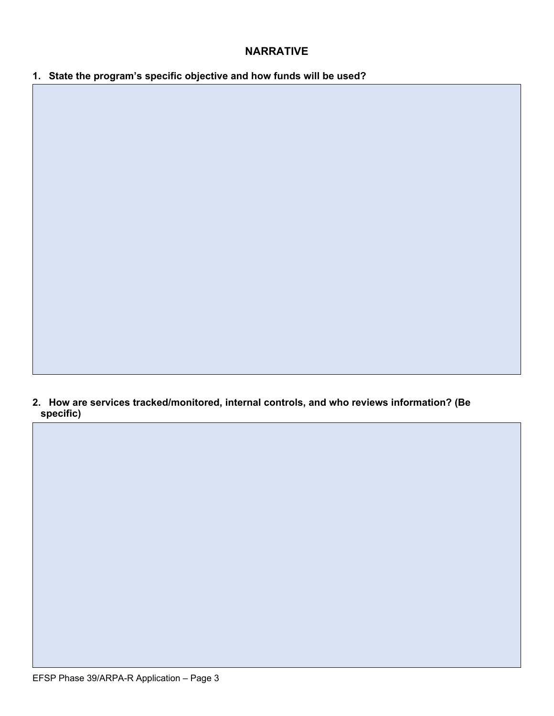### **NARRATIVE**

**1. State the program's specific objective and how funds will be used?**

**2. How are services tracked/monitored, internal controls, and who reviews information? (Be specific)**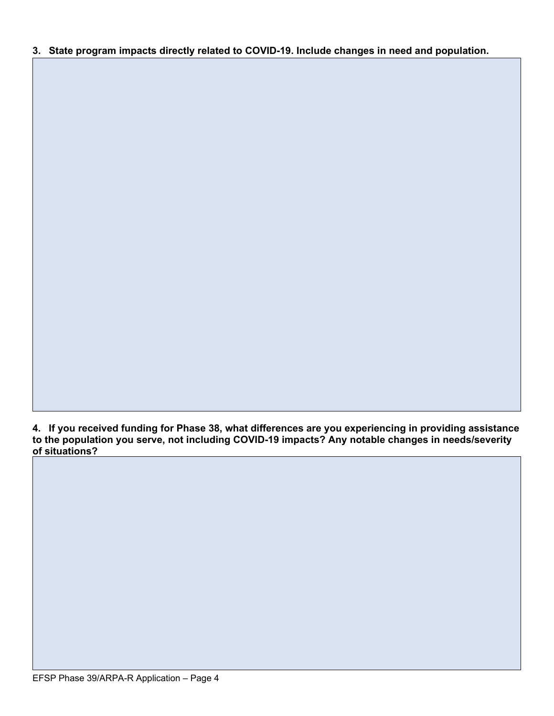#### **3. State program impacts directly related to COVID-19. Include changes in need and population.**

**How often are they monitored and who reviews information?**

**4. If you received funding for Phase 38, what differences are you experiencing in providing assistance to the population you serve, not including COVID-19 impacts? Any notable changes in needs/severity of situations?**

**5.**